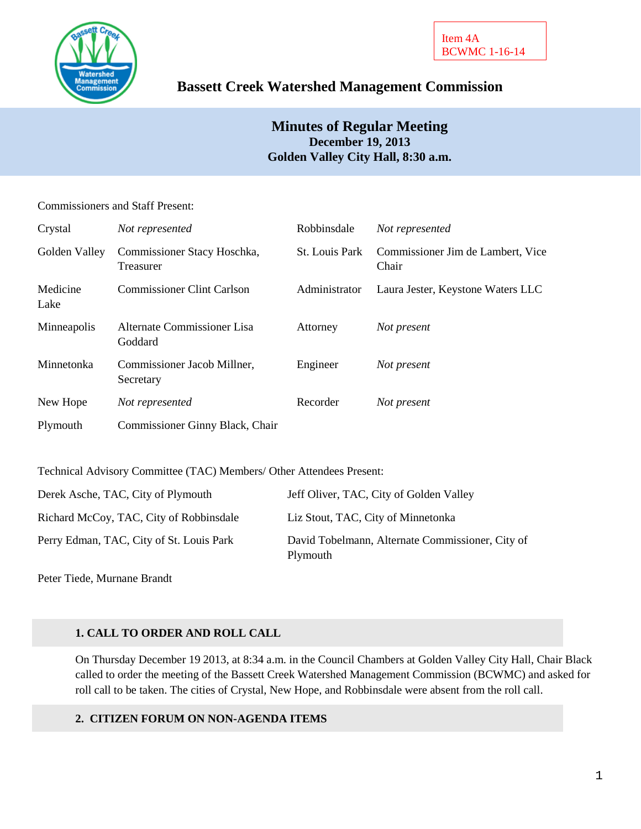

# **Bassett Creek Watershed Management Commission**

## **Minutes of Regular Meeting December 19, 2013 Golden Valley City Hall, 8:30 a.m.**

### Commissioners and Staff Present:

| Crystal          | Not represented                                 | Robbinsdale    | Not represented                            |
|------------------|-------------------------------------------------|----------------|--------------------------------------------|
| Golden Valley    | Commissioner Stacy Hoschka,<br><b>Treasurer</b> | St. Louis Park | Commissioner Jim de Lambert, Vice<br>Chair |
| Medicine<br>Lake | <b>Commissioner Clint Carlson</b>               | Administrator  | Laura Jester, Keystone Waters LLC          |
| Minneapolis      | Alternate Commissioner Lisa<br>Goddard          | Attorney       | Not present                                |
| Minnetonka       | Commissioner Jacob Millner,<br>Secretary        | Engineer       | Not present                                |
| New Hope         | Not represented                                 | Recorder       | Not present                                |
| Plymouth         | Commissioner Ginny Black, Chair                 |                |                                            |

Technical Advisory Committee (TAC) Members/ Other Attendees Present:

| Derek Asche, TAC, City of Plymouth       | Jeff Oliver, TAC, City of Golden Valley                      |
|------------------------------------------|--------------------------------------------------------------|
| Richard McCoy, TAC, City of Robbinsdale  | Liz Stout, TAC, City of Minnetonka                           |
| Perry Edman, TAC, City of St. Louis Park | David Tobelmann, Alternate Commissioner, City of<br>Plymouth |

Peter Tiede, Murnane Brandt

## **1. CALL TO ORDER AND ROLL CALL**

On Thursday December 19 2013, at 8:34 a.m. in the Council Chambers at Golden Valley City Hall, Chair Black called to order the meeting of the Bassett Creek Watershed Management Commission (BCWMC) and asked for roll call to be taken. The cities of Crystal, New Hope, and Robbinsdale were absent from the roll call.

## **2. CITIZEN FORUM ON NON-AGENDA ITEMS**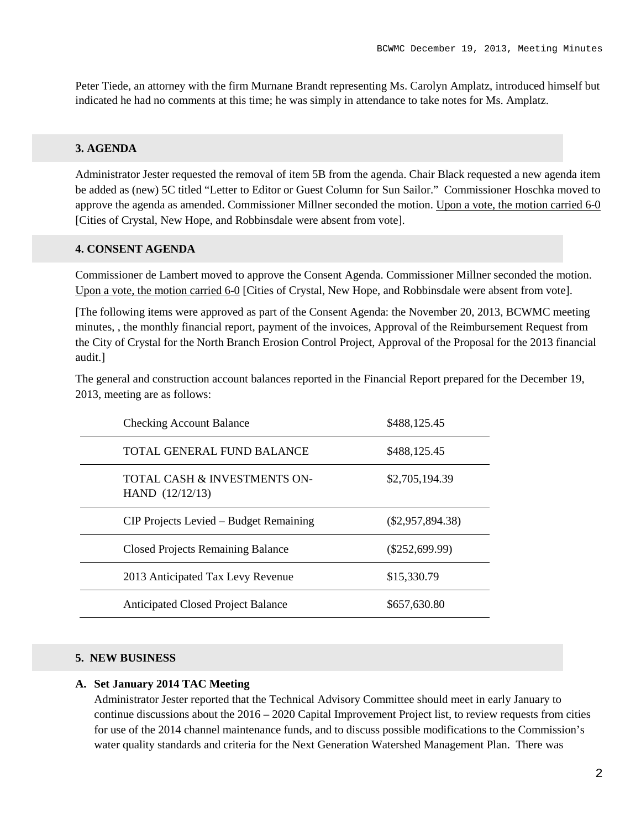Peter Tiede, an attorney with the firm Murnane Brandt representing Ms. Carolyn Amplatz, introduced himself but indicated he had no comments at this time; he was simply in attendance to take notes for Ms. Amplatz.

#### **3. AGENDA**

Administrator Jester requested the removal of item 5B from the agenda. Chair Black requested a new agenda item be added as (new) 5C titled "Letter to Editor or Guest Column for Sun Sailor." Commissioner Hoschka moved to approve the agenda as amended. Commissioner Millner seconded the motion. Upon a vote, the motion carried 6-0 [Cities of Crystal, New Hope, and Robbinsdale were absent from vote].

#### **4. CONSENT AGENDA**

Commissioner de Lambert moved to approve the Consent Agenda. Commissioner Millner seconded the motion. Upon a vote, the motion carried 6-0 [Cities of Crystal, New Hope, and Robbinsdale were absent from vote].

[The following items were approved as part of the Consent Agenda: the November 20, 2013, BCWMC meeting minutes, , the monthly financial report, payment of the invoices, Approval of the Reimbursement Request from the City of Crystal for the North Branch Erosion Control Project, Approval of the Proposal for the 2013 financial audit.]

The general and construction account balances reported in the Financial Report prepared for the December 19, 2013, meeting are as follows:

| <b>Checking Account Balance</b>                   | \$488,125.45       |
|---------------------------------------------------|--------------------|
| TOTAL GENERAL FUND BALANCE                        | \$488,125.45       |
| TOTAL CASH & INVESTMENTS ON-<br>HAND $(12/12/13)$ | \$2,705,194.39     |
| CIP Projects Levied – Budget Remaining            | $(\$2,957,894.38)$ |
| <b>Closed Projects Remaining Balance</b>          | $(\$252,699.99)$   |
| 2013 Anticipated Tax Levy Revenue                 | \$15,330.79        |
| <b>Anticipated Closed Project Balance</b>         | \$657,630.80       |

#### **5. NEW BUSINESS**

#### **A. Set January 2014 TAC Meeting**

Administrator Jester reported that the Technical Advisory Committee should meet in early January to continue discussions about the 2016 – 2020 Capital Improvement Project list, to review requests from cities for use of the 2014 channel maintenance funds, and to discuss possible modifications to the Commission's water quality standards and criteria for the Next Generation Watershed Management Plan. There was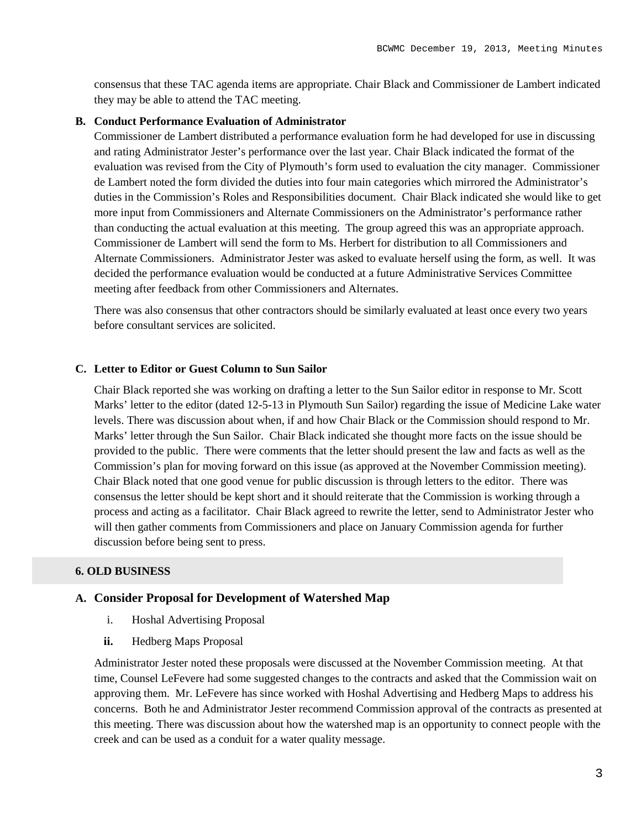consensus that these TAC agenda items are appropriate. Chair Black and Commissioner de Lambert indicated they may be able to attend the TAC meeting.

#### **B. Conduct Performance Evaluation of Administrator**

Commissioner de Lambert distributed a performance evaluation form he had developed for use in discussing and rating Administrator Jester's performance over the last year. Chair Black indicated the format of the evaluation was revised from the City of Plymouth's form used to evaluation the city manager. Commissioner de Lambert noted the form divided the duties into four main categories which mirrored the Administrator's duties in the Commission's Roles and Responsibilities document. Chair Black indicated she would like to get more input from Commissioners and Alternate Commissioners on the Administrator's performance rather than conducting the actual evaluation at this meeting. The group agreed this was an appropriate approach. Commissioner de Lambert will send the form to Ms. Herbert for distribution to all Commissioners and Alternate Commissioners. Administrator Jester was asked to evaluate herself using the form, as well. It was decided the performance evaluation would be conducted at a future Administrative Services Committee meeting after feedback from other Commissioners and Alternates.

There was also consensus that other contractors should be similarly evaluated at least once every two years before consultant services are solicited.

### **C. Letter to Editor or Guest Column to Sun Sailor**

Chair Black reported she was working on drafting a letter to the Sun Sailor editor in response to Mr. Scott Marks' letter to the editor (dated 12-5-13 in Plymouth Sun Sailor) regarding the issue of Medicine Lake water levels. There was discussion about when, if and how Chair Black or the Commission should respond to Mr. Marks' letter through the Sun Sailor. Chair Black indicated she thought more facts on the issue should be provided to the public. There were comments that the letter should present the law and facts as well as the Commission's plan for moving forward on this issue (as approved at the November Commission meeting). Chair Black noted that one good venue for public discussion is through letters to the editor. There was consensus the letter should be kept short and it should reiterate that the Commission is working through a process and acting as a facilitator. Chair Black agreed to rewrite the letter, send to Administrator Jester who will then gather comments from Commissioners and place on January Commission agenda for further discussion before being sent to press.

#### **6. OLD BUSINESS**

### **A. Consider Proposal for Development of Watershed Map**

- i. Hoshal Advertising Proposal
- **ii.** Hedberg Maps Proposal

Administrator Jester noted these proposals were discussed at the November Commission meeting. At that time, Counsel LeFevere had some suggested changes to the contracts and asked that the Commission wait on approving them. Mr. LeFevere has since worked with Hoshal Advertising and Hedberg Maps to address his concerns. Both he and Administrator Jester recommend Commission approval of the contracts as presented at this meeting. There was discussion about how the watershed map is an opportunity to connect people with the creek and can be used as a conduit for a water quality message.